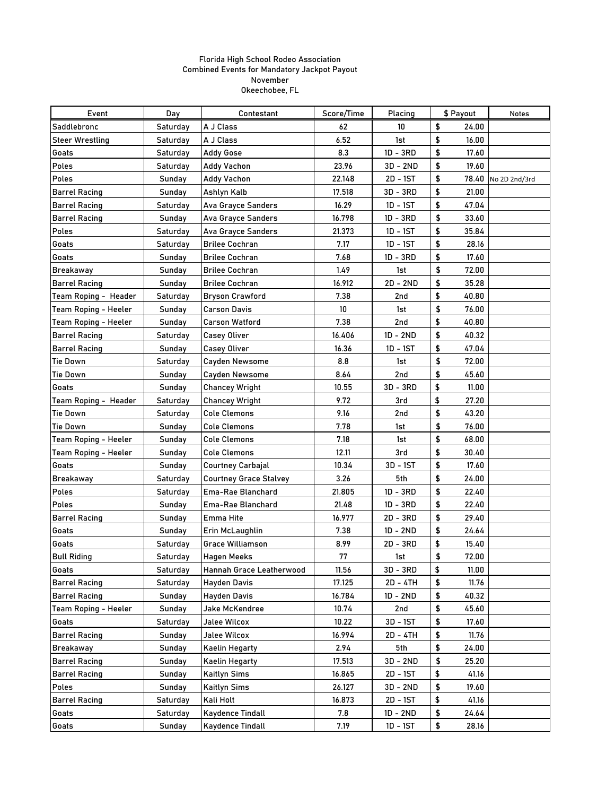| Event                       | Day           | Contestant                    | Score/Time      | Placing    | \$ Payout   | <b>Notes</b>  |
|-----------------------------|---------------|-------------------------------|-----------------|------------|-------------|---------------|
| Saddlebronc                 | Saturday      | A J Class                     | 62              | 10         | \$<br>24.00 |               |
| <b>Steer Wrestling</b>      | Saturday      | A J Class                     | 6.52            | 1st        | \$<br>16.00 |               |
| Goats                       | Saturday      | <b>Addy Gose</b>              | 8.3             | $1D - 3RD$ | \$<br>17.60 |               |
| <b>Poles</b>                | Saturday      | <b>Addy Vachon</b>            | 23.96           | $3D - 2ND$ | \$<br>19.60 |               |
| <b>Poles</b>                | Sunday        | <b>Addy Vachon</b>            | 22.148          | 2D - 1ST   | \$<br>78.40 | No 2D 2nd/3rd |
| <b>Barrel Racing</b>        | Sunday        | Ashlyn Kalb                   | 17.518          | 3D - 3RD   | \$<br>21.00 |               |
| <b>Barrel Racing</b>        | Saturday      | <b>Ava Grayce Sanders</b>     | 16.29           | $1D - 1ST$ | \$<br>47.04 |               |
| <b>Barrel Racing</b>        | Sunday        | <b>Ava Grayce Sanders</b>     | 16.798          | $1D - 3RD$ | \$<br>33.60 |               |
| <b>Poles</b>                | Saturday      | <b>Ava Grayce Sanders</b>     | 21.373          | $1D - 1ST$ | \$<br>35.84 |               |
| Goats                       | Saturday      | <b>Brilee Cochran</b>         | 7.17            | $1D - 1ST$ | \$<br>28.16 |               |
| Goats                       | Sunday        | <b>Brilee Cochran</b>         | 7.68            | $1D - 3RD$ | \$<br>17.60 |               |
| <b>Breakaway</b>            | Sunday        | <b>Brilee Cochran</b>         | 1.49            | 1st        | \$<br>72.00 |               |
| <b>Barrel Racing</b>        | Sunday        | <b>Brilee Cochran</b>         | 16.912          | $2D - 2ND$ | \$<br>35.28 |               |
| Team Roping - Header        | Saturday      | <b>Bryson Crawford</b>        | 7.38            | 2nd        | 40.80<br>\$ |               |
| <b>Team Roping - Heeler</b> | Sunday        | <b>Carson Davis</b>           | 10 <sup>°</sup> | 1st        | \$<br>76.00 |               |
| <b>Team Roping - Heeler</b> | Sunday        | <b>Carson Watford</b>         | 7.38            | 2nd        | \$<br>40.80 |               |
| <b>Barrel Racing</b>        | Saturday      | <b>Casey Oliver</b>           | 16.406          | $1D - 2ND$ | \$<br>40.32 |               |
| <b>Barrel Racing</b>        | Sunday        | <b>Casey Oliver</b>           | 16.36           | 1D - 1ST   | \$<br>47.04 |               |
| <b>Tie Down</b>             | Saturday      | <b>Cayden Newsome</b>         | 8.8             | 1st        | \$<br>72.00 |               |
| <b>Tie Down</b>             | Sunday        | <b>Cayden Newsome</b>         | 8.64            | 2nd        | \$<br>45.60 |               |
| Goats                       | <b>Sunday</b> | <b>Chancey Wright</b>         | 10.55           | $3D - 3RD$ | \$<br>11.00 |               |
| Team Roping - Header        | Saturday      | <b>Chancey Wright</b>         | 9.72            | 3rd        | 27.20<br>\$ |               |
| Tie Down                    | Saturday      | <b>Cole Clemons</b>           | 9.16            | 2nd        | \$<br>43.20 |               |
| <b>Tie Down</b>             | Sunday        | <b>Cole Clemons</b>           | 7.78            | 1st        | \$<br>76.00 |               |
| <b>Team Roping - Heeler</b> | Sunday        | <b>Cole Clemons</b>           | 7.18            | 1st        | \$<br>68.00 |               |
| <b>Team Roping - Heeler</b> | Sunday        | <b>Cole Clemons</b>           | 12.11           | 3rd        | \$<br>30.40 |               |
| Goats                       | Sunday        | <b>Courtney Carbajal</b>      | 10.34           | 3D - 1ST   | \$<br>17.60 |               |
| <b>Breakaway</b>            | Saturday      | <b>Courtney Grace Stalvey</b> | 3.26            | 5th        | 24.00<br>\$ |               |
| Poles                       | Saturday      | Ema-Rae Blanchard             | 21.805          | $1D - 3RD$ | \$<br>22.40 |               |
| <b>Poles</b>                | Sunday        | Ema-Rae Blanchard             | 21.48           | $1D - 3RD$ | \$<br>22.40 |               |
| <b>Barrel Racing</b>        | Sunday        | <b>Emma Hite</b>              | 16.977          | 2D - 3RD   | \$<br>29.40 |               |
| Goats                       | Sunday        | Erin McLaughlin               | 7.38            | $1D - 2ND$ | \$<br>24.64 |               |
| Goats                       | Saturday      | <b>Grace Williamson</b>       | 8.99            | $2D - 3RD$ | \$<br>15.40 |               |
| <b>Bull Riding</b>          | Saturday      | <b>Hagen Meeks</b>            | 77              | 1st        | \$<br>72.00 |               |
| Goats                       | Saturday      | Hannah Grace Leatherwood      | 11.56           | 3D - 3RD   | \$<br>11.00 |               |
| <b>Barrel Racing</b>        | Saturday      | <b>Hayden Davis</b>           | 17.125          | 2D - 4TH   | \$<br>11.76 |               |
| <b>Barrel Racing</b>        | Sunday        | <b>Hayden Davis</b>           | 16.784          | $1D - 2ND$ | \$<br>40.32 |               |
| <b>Team Roping - Heeler</b> | Sunday        | <b>Jake McKendree</b>         | 10.74           | 2nd        | \$<br>45.60 |               |
| Goats                       | Saturday      | <b>Jalee Wilcox</b>           | 10.22           | 3D - 1ST   | \$<br>17.60 |               |
| <b>Barrel Racing</b>        | Sunday        | <b>Jalee Wilcox</b>           | 16.994          | 2D - 4TH   | \$<br>11.76 |               |
| <b>Breakaway</b>            | <b>Sunday</b> | <b>Kaelin Hegarty</b>         | 2.94            | 5th        | \$<br>24.00 |               |
| <b>Barrel Racing</b>        | Sunday        | <b>Kaelin Hegarty</b>         | 17.513          | $3D - 2ND$ | \$<br>25.20 |               |
| <b>Barrel Racing</b>        | Sunday        | <b>Kaitlyn Sims</b>           | 16.865          | 2D - 1ST   | \$<br>41.16 |               |
| Poles                       | Sunday        | <b>Kaitlyn Sims</b>           | 26.127          | 3D - 2ND   | \$<br>19.60 |               |
| <b>Barrel Racing</b>        | Saturday      | Kali Holt                     | 16.873          | 2D - 1ST   | \$<br>41.16 |               |
| Goats                       | Saturday      | <b>Kaydence Tindall</b>       | 7.8             | $1D - 2ND$ | \$<br>24.64 |               |
| Goats                       | Sunday        | Kaydence Tindall              | 7.19            | 1D - 1ST   | \$<br>28.16 |               |
|                             |               |                               |                 |            |             |               |

## Florida High School Rodeo Association Combined Events for Mandatory Jackpot Payout November Okeechobee, FL